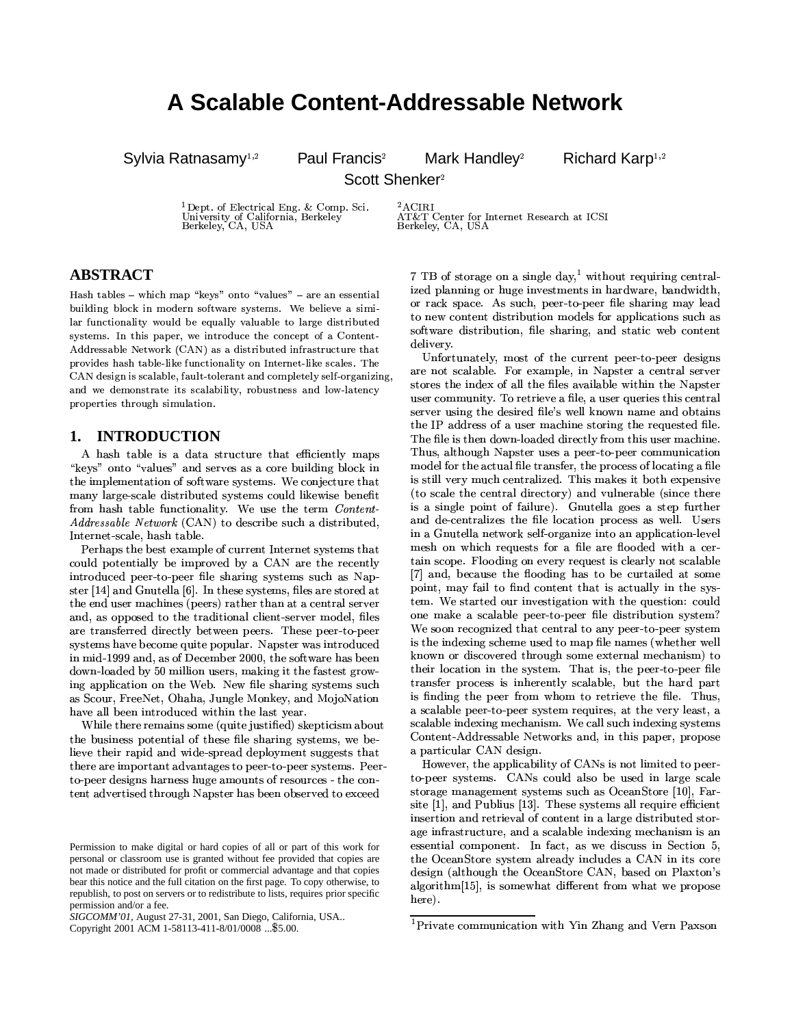# A Scalable Content-Addressable Network

Sylvia Ratnasamy<sup>1,2</sup>

Paul Francis<sup>2</sup>

Mark Handley<sup>2</sup>

Richard Karp<sup>1,2</sup>

Scott Shenker<sup>2</sup>

<sup>1</sup>Dept. of Electrical Eng. & Comp. Sci. University of California, Berkeley<br>Berkeley, CA, USA

 $^2$  ACIRI AT&T Center for Internet Research at ICSI Berkeley, CA, USA

# **ABSTRACT**

Hash tables - which map "keys" onto "values" - are an essential building block in modern software systems. We believe a similar functionality would be equally valuable to large distributed systems. In this paper, we introduce the concept of a Content-Addressable Network (CAN) as a distributed infrastructure that provides hash table-like functionality on Internet-like scales. The CAN design is scalable, fault-tolerant and completely self-organizing, and we demonstrate its scalability, robustness and low-latency properties through simulation.

#### **INTRODUCTION** 1.

A hash table is a data structure that efficiently maps "keys" onto "values" and serves as a core building block in the implementation of software systems. We conjecture that many large-scale distributed systems could likewise benefit from hash table functionality. We use the term *Content Addressable Network* (CAN) to describe such a distributed, Internet-scale, hash table.

Perhaps the best example of current Internet systems that could potentially be improved by a CAN are the recently introduced peer-to-peer file sharing systems such as Napster [14] and Gnutella [6]. In these systems, files are stored at the end user machines (peers) rather than at a central server and, as opposed to the traditional client-server model, files are transferred directly between peers. These peer-to-peer systems have become quite popular. Napster was introduced in mid-1999 and, as of December 2000, the software has been down-loaded by 50 million users, making it the fastest growing application on the Web. New file sharing systems such as Scour, FreeNet, Ohaha, Jungle Monkey, and MojoNation have all been introduced within the last year.

While there remains some (quite justified) skepticism about the business potential of these file sharing systems, we believe their rapid and wide-spread deployment suggests that there are important advantages to peer-to-peer systems. Peerto-peer designs harness huge amounts of resources - the content advertised through Napster has been observed to exceed

SIGCOMM'01, August 27-31, 2001, San Diego, California, USA..

Copyright 2001 ACM 1-58113-411-8/01/0008 ... \$5.00.

7 TB of storage on a single day,<sup>1</sup> without requiring centralized planning or huge investments in hardware, bandwidth, or rack space. As such, peer-to-peer file sharing may lead to new content distribution models for applications such as software distribution, file sharing, and static web content delivery.

Unfortunately, most of the current peer-to-peer designs are not scalable. For example, in Napster a central server stores the index of all the files available within the Napster user community. To retrieve a file, a user queries this central server using the desired file's well known name and obtains the IP address of a user machine storing the requested file. The file is then down-loaded directly from this user machine. Thus, although Napster uses a peer-to-peer communication model for the actual file transfer, the process of locating a file is still very much centralized. This makes it both expensive (to scale the central directory) and vulnerable (since there is a single point of failure). Gnutella goes a step further and de-centralizes the file location process as well. Users in a Gnutella network self-organize into an application-level mesh on which requests for a file are flooded with a certain scope. Flooding on every request is clearly not scalable [7] and, because the flooding has to be curtailed at some point, may fail to find content that is actually in the system. We started our investigation with the question: could one make a scalable peer-to-peer file distribution system? We soon recognized that central to any peer-to-peer system is the indexing scheme used to map file names (whether well known or discovered through some external mechanism) to their location in the system. That is, the peer-to-peer file transfer process is inherently scalable, but the hard part is finding the peer from whom to retrieve the file. Thus, a scalable peer-to-peer system requires, at the very least, a scalable indexing mechanism. We call such indexing systems Content-Addressable Networks and, in this paper, propose a particular CAN design.

However, the applicability of CANs is not limited to peerto-peer systems. CANs could also be used in large scale storage management systems such as OceanStore [10], Farsite [1], and Publius [13]. These systems all require efficient insertion and retrieval of content in a large distributed storage infrastructure, and a scalable indexing mechanism is an essential component. In fact, as we discuss in Section 5, the OceanStore system already includes a CAN in its core design (although the OceanStore CAN, based on Plaxton's algorithm  $[15]$ , is somewhat different from what we propose here).

Permission to make digital or hard copies of all or part of this work for personal or classroom use is granted without fee provided that copies are not made or distributed for profit or commercial advantage and that copies bear this notice and the full citation on the first page. To copy otherwise, to republish, to post on servers or to redistribute to lists, requires prior specific permission and/or a fee.

<sup>&</sup>lt;sup>1</sup>Private communication with Yin Zhang and Vern Paxson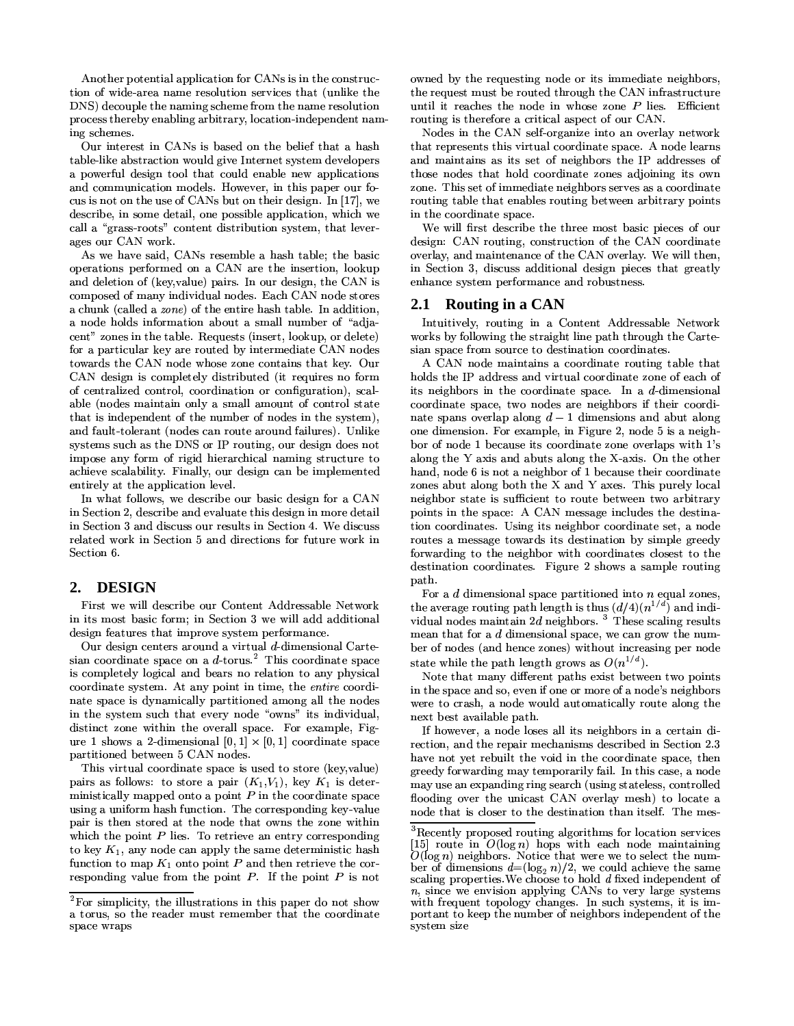Another potential application for CANs is in the construction of wide-area name resolution services that (unlike the DNS) decouple the naming scheme from the name resolution process thereby enabling arbitrary, location-independent naming schemes.

Our interest in CANs is based on the belief that a hash table-like abstraction would give Internet system developers a powerful design tool that could enable new applications and communication models. However, in this paper our focus is not on the use of CANs but on their design. In [17], we describe, in some detail, one possible application, which we call a "grass-roots" content distribution system, that leverages our CAN work.

As we have said, CANs resemble a hash table; the basic operations performed on a CAN are the insertion, lookup and deletion of (key, value) pairs. In our design, the CAN is composed of many individual nodes. Each CAN node stores a chunk (called a zone) of the entire hash table. In addition, a node holds information about a small number of "adjacent" zones in the table. Requests (insert, lookup, or delete) for a particular key are routed by intermediate CAN nodes towards the CAN node whose zone contains that key. Our CAN design is completely distributed (it requires no form of centralized control, coordination or configuration), scalable (nodes maintain only a small amount of control state that is independent of the number of nodes in the system). and fault-tolerant (nodes can route around failures). Unlike systems such as the DNS or IP routing, our design does not impose any form of rigid hierarchical naming structure to achieve scalability. Finally, our design can be implemented entirely at the application level.

In what follows, we describe our basic design for a CAN in Section 2, describe and evaluate this design in more detail in Section 3 and discuss our results in Section 4. We discuss related work in Section 5 and directions for future work in Section 6.

#### **DESIGN** 2.

First we will describe our Content Addressable Network in its most basic form; in Section 3 we will add additional design features that improve system performance.

Our design centers around a virtual d-dimensional Cartesian coordinate space on a  $d$ -torus.<sup>2</sup> This coordinate space is completely logical and bears no relation to any physical coordinate system. At any point in time, the entire coordinate space is dynamically partitioned among all the nodes in the system such that every node "owns" its individual, distinct zone within the overall space. For example, Figure 1 shows a 2-dimensional  $[0, 1] \times [0, 1]$  coordinate space partitioned between 5 CAN nodes.

This virtual coordinate space is used to store (key, value) pairs as follows: to store a pair  $(K_1, V_1)$ , key  $K_1$  is deterministically mapped onto a point  $P$  in the coordinate space using a uniform hash function. The corresponding key-value pair is then stored at the node that owns the zone within which the point  $P$  lies. To retrieve an entry corresponding to key  $K_1$ , any node can apply the same deterministic hash function to map  $K_1$  onto point P and then retrieve the corresponding value from the point  $P$ . If the point  $P$  is not

owned by the requesting node or its immediate neighbors, the request must be routed through the CAN infrastructure until it reaches the node in whose zone  $P$  lies. Efficient routing is therefore a critical aspect of our CAN.

Nodes in the CAN self-organize into an overlay network that represents this virtual coordinate space. A node learns and maintains as its set of neighbors the IP addresses of those nodes that hold coordinate zones adjoining its own zone. This set of immediate neighbors serves as a coordinate routing table that enables routing between arbitrary points in the coordinate space.

We will first describe the three most basic pieces of our design: CAN routing, construction of the CAN coordinate overlay, and maintenance of the CAN overlay. We will then, in Section 3, discuss additional design pieces that greatly enhance system performance and robustness.

### 2.1 Routing in a CAN

Intuitively, routing in a Content Addressable Network works by following the straight line path through the Cartesian space from source to destination coordinates.

A CAN node maintains a coordinate routing table that holds the IP address and virtual coordinate zone of each of its neighbors in the coordinate space. In a  $d$ -dimensional coordinate space, two nodes are neighbors if their coordinate spans overlap along  $d-1$  dimensions and abut along one dimension. For example, in Figure 2, node 5 is a neighbor of node 1 because its coordinate zone overlaps with 1's along the Y axis and abuts along the X-axis. On the other hand, node 6 is not a neighbor of 1 because their coordinate zones abut along both the X and Y axes. This purely local neighbor state is sufficient to route between two arbitrary points in the space: A CAN message includes the destination coordinates. Using its neighbor coordinate set, a node routes a message towards its destination by simple greedy forwarding to the neighbor with coordinates closest to the destination coordinates. Figure 2 shows a sample routing path.

For a  $d$  dimensional space partitioned into  $n$  equal zones, the average routing path length is thus  $(d/4)(n^{1/d})$  and individual nodes maintain  $2d$  neighbors.<sup>3</sup> These scaling results mean that for a  $d$  dimensional space, we can grow the number of nodes (and hence zones) without increasing per node state while the path length grows as  $O(n^{1/d})$ .

Note that many different paths exist between two points in the space and so, even if one or more of a node's neighbors were to crash, a node would automatically route along the next best available path.

If however, a node loses all its neighbors in a certain direction, and the repair mechanisms described in Section 2.3 have not yet rebuilt the void in the coordinate space, then greedy forwarding may temporarily fail. In this case, a node may use an expanding ring search (using stateless, controlled flooding over the unicast CAN overlay mesh) to locate a node that is closer to the destination than itself. The mes-

 ${}^{2}$ For simplicity, the illustrations in this paper do not show a torus, so the reader must remember that the coordinate space wraps

<sup>&</sup>lt;sup>3</sup>Recently proposed routing algorithms for location services [15] route in  $O(\log n)$  hops with each node maintaining  $O(\log n)$  neighbors. Notice that were we to select the number of dimensions  $d=(\log_2 n)/2$ , we could achieve the same scaling properties. We choose to hold  $d$  fixed independent of  $n$ , since we envision applying CANs to very large systems with frequent topology changes. In such systems, it is important to keep the number of neighbors independent of the system size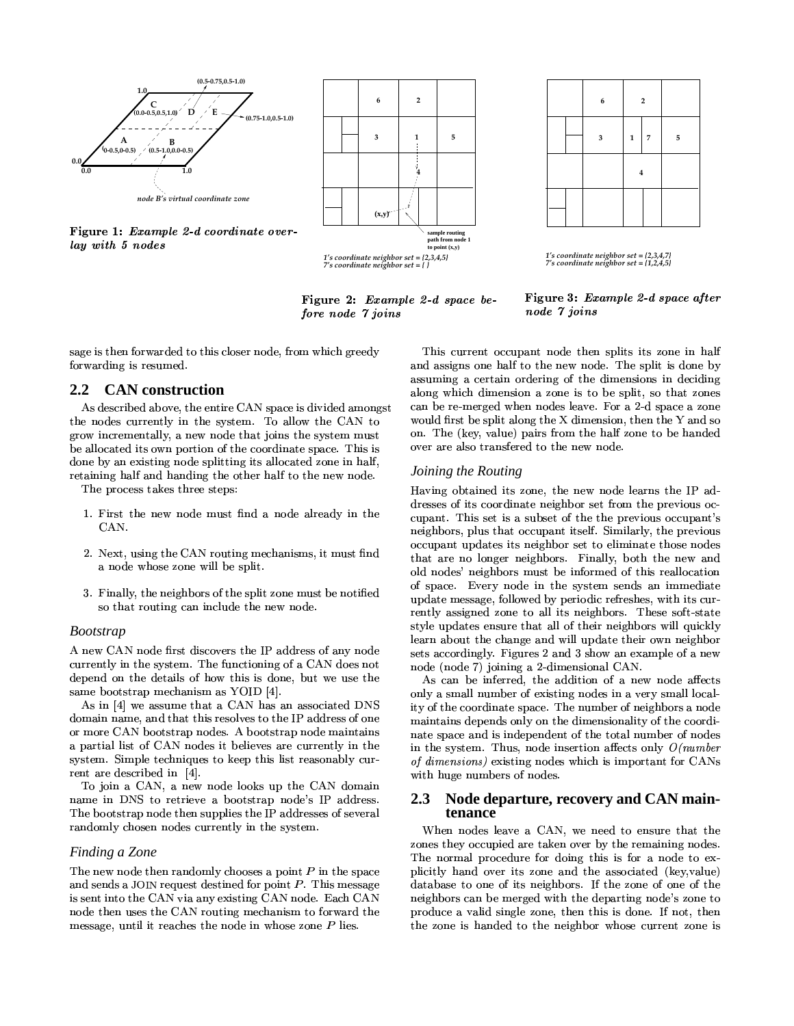

Figure 1: Example 2-d coordinate overlay with 5 nodes



Figure 2: Example 2-d space before node 7 joins



1's coordinate neighbor set =  $\{2,3,4,7\}$ <br>7's coordinate neighbor set =  $\{1,2,4,5\}$ 

Figure 3: Example 2-d space after node 7 ioins

sage is then forwarded to this closer node, from which greedy forwarding is resumed.

#### **CAN** construction  $2.2$

As described above, the entire CAN space is divided amongst the nodes currently in the system. To allow the CAN to grow incrementally, a new node that joins the system must be allocated its own portion of the coordinate space. This is done by an existing node splitting its allocated zone in half, retaining half and handing the other half to the new node.

The process takes three steps:

- 1. First the new node must find a node already in the CAN.
- 2. Next, using the CAN routing mechanisms, it must find a node whose zone will be split.
- 3. Finally, the neighbors of the split zone must be notified so that routing can include the new node.

### **Bootstrap**

A new CAN node first discovers the IP address of any node currently in the system. The functioning of a CAN does not depend on the details of how this is done, but we use the same bootstrap mechanism as YOID [4].

As in [4] we assume that a CAN has an associated DNS domain name, and that this resolves to the IP address of one or more CAN bootstrap nodes. A bootstrap node maintains a partial list of CAN nodes it believes are currently in the system. Simple techniques to keep this list reasonably current are described in  $[4]$ .

To join a CAN, a new node looks up the CAN domain name in DNS to retrieve a bootstrap node's IP address. The bootstrap node then supplies the IP addresses of several randomly chosen nodes currently in the system.

### Finding a Zone

The new node then randomly chooses a point  $P$  in the space and sends a JOIN request destined for point  $P$ . This message is sent into the CAN via any existing CAN node. Each CAN node then uses the CAN routing mechanism to forward the message, until it reaches the node in whose zone  $P$  lies.

This current occupant node then splits its zone in half and assigns one half to the new node. The split is done by assuming a certain ordering of the dimensions in deciding along which dimension a zone is to be split, so that zones can be re-merged when nodes leave. For a 2-d space a zone would first be split along the X dimension, then the Y and so on. The (key, value) pairs from the half zone to be handed over are also transfered to the new node.

### Joining the Routing

Having obtained its zone, the new node learns the IP addresses of its coordinate neighbor set from the previous occupant. This set is a subset of the the previous occupant's neighbors, plus that occupant itself. Similarly, the previous occupant updates its neighbor set to eliminate those nodes that are no longer neighbors. Finally, both the new and old nodes' neighbors must be informed of this reallocation of space. Every node in the system sends an immediate update message, followed by periodic refreshes, with its currently assigned zone to all its neighbors. These soft-state style updates ensure that all of their neighbors will quickly learn about the change and will update their own neighbor sets accordingly. Figures 2 and 3 show an example of a new node (node 7) joining a 2-dimensional CAN.

As can be inferred, the addition of a new node affects only a small number of existing nodes in a very small locality of the coordinate space. The number of neighbors a node maintains depends only on the dimensionality of the coordinate space and is independent of the total number of nodes in the system. Thus, node insertion affects only  $O(number)$ of dimensions) existing nodes which is important for CANs with huge numbers of nodes.

### 2.3 Node departure, recovery and CAN maintenance

When nodes leave a CAN, we need to ensure that the zones they occupied are taken over by the remaining nodes. The normal procedure for doing this is for a node to explicitly hand over its zone and the associated (key, value) database to one of its neighbors. If the zone of one of the neighbors can be merged with the departing node's zone to produce a valid single zone, then this is done. If not, then the zone is handed to the neighbor whose current zone is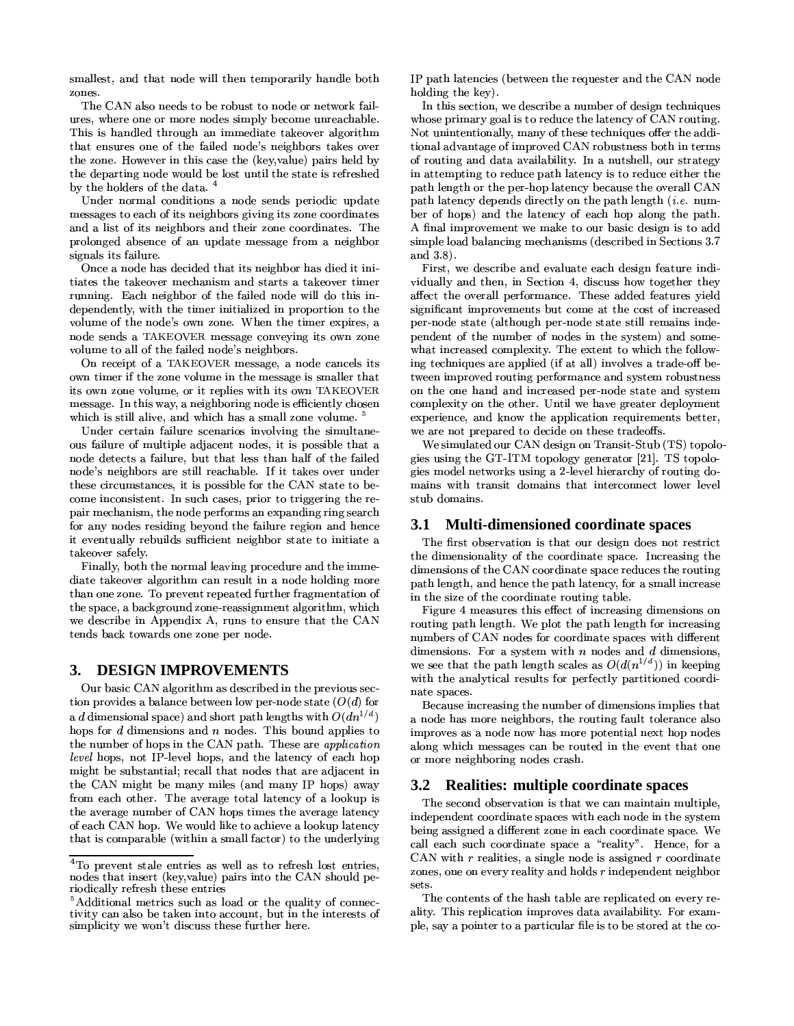smallest, and that node will then temporarily handle both zones

The CAN also needs to be robust to node or network failures, where one or more nodes simply become unreachable. This is handled through an immediate takeover algorithm that ensures one of the failed node's neighbors takes over the zone. However in this case the (key, value) pairs held by the departing node would be lost until the state is refreshed by the holders of the data.

Under normal conditions a node sends periodic update messages to each of its neighbors giving its zone coordinates and a list of its neighbors and their zone coordinates. The prolonged absence of an update message from a neighbor signals its failure.

Once a node has decided that its neighbor has died it initiates the takeover mechanism and starts a takeover timer running. Each neighbor of the failed node will do this independently, with the timer initialized in proportion to the volume of the node's own zone. When the timer expires, a node sends a TAKEOVER message conveying its own zone volume to all of the failed node's neighbors.

On receipt of a TAKEOVER message, a node cancels its own timer if the zone volume in the message is smaller that its own zone volume, or it replies with its own TAKEOVER message. In this way, a neighboring node is efficiently chosen which is still alive, and which has a small zone volume.<sup>5</sup>

Under certain failure scenarios involving the simultaneous failure of multiple adiacent nodes, it is possible that a node detects a failure, but that less than half of the failed node's neighbors are still reachable. If it takes over under these circumstances, it is possible for the CAN state to become inconsistent. In such cases, prior to triggering the repair mechanism, the node performs an expanding ring search for any nodes residing beyond the failure region and hence it eventually rebuilds sufficient neighbor state to initiate a takeover safely.

Finally, both the normal leaving procedure and the immediate takeover algorithm can result in a node holding more than one zone. To prevent repeated further fragmentation of the space, a background zone-reassignment algorithm, which we describe in Appendix A, runs to ensure that the CAN tends back towards one zone per node.

#### $3.$ **DESIGN IMPROVEMENTS**

Our basic CAN algorithm as described in the previous section provides a balance between low per-node state  $(O(d))$  for a d dimensional space) and short path lengths with  $O(dn^{1/d})$ hops for  $d$  dimensions and  $n$  nodes. This bound applies to the number of hops in the CAN path. These are application *level* hops, not IP-level hops, and the latency of each hop might be substantial; recall that nodes that are adjacent in the CAN might be many miles (and many IP hops) away from each other. The average total latency of a lookup is the average number of CAN hops times the average latency of each CAN hop. We would like to achieve a lookup latency that is comparable (within a small factor) to the underlying IP path latencies (between the requester and the CAN node holding the key).

In this section, we describe a number of design techniques whose primary goal is to reduce the latency of CAN routing. Not unintentionally, many of these techniques offer the additional advantage of improved CAN robustness both in terms of routing and data availability. In a nutshell, our strategy in attempting to reduce path latency is to reduce either the path length or the per-hop latency because the overall CAN path latency depends directly on the path length  $(i.e.$  number of hops) and the latency of each hop along the path. A final improvement we make to our basic design is to add simple load balancing mechanisms (described in Sections 3.7) and  $3.8$ ).

First, we describe and evaluate each design feature individually and then, in Section 4, discuss how together they affect the overall performance. These added features yield significant improvements but come at the cost of increased per-node state (although per-node state still remains independent of the number of nodes in the system) and somewhat increased complexity. The extent to which the following techniques are applied (if at all) involves a trade-off between improved routing performance and system robustness on the one hand and increased per-node state and system complexity on the other. Until we have greater deployment experience, and know the application requirements better. we are not prepared to decide on these tradeoffs.

We simulated our CAN design on Transit-Stub (TS) topologies using the GT-ITM topology generator [21]. TS topologies model networks using a 2-level hierarchy of routing domains with transit domains that interconnect lower level stub domains.

#### $3.1$ **Multi-dimensioned coordinate spaces**

The first observation is that our design does not restrict the dimensionality of the coordinate space. Increasing the dimensions of the CAN coordinate space reduces the routing path length, and hence the path latency, for a small increase in the size of the coordinate routing table.

Figure 4 measures this effect of increasing dimensions on routing path length. We plot the path length for increasing numbers of CAN nodes for coordinate spaces with different dimensions. For a system with  $n$  nodes and  $d$  dimensions, we see that the path length scales as  $O(d(n^{1/d}))$  in keeping with the analytical results for perfectly partitioned coordinate spaces.

Because increasing the number of dimensions implies that a node has more neighbors, the routing fault tolerance also improves as a node now has more potential next hop nodes along which messages can be routed in the event that one or more neighboring nodes crash.

### 3.2 Realities: multiple coordinate spaces

The second observation is that we can maintain multiple, independent coordinate spaces with each node in the system being assigned a different zone in each coordinate space. We call each such coordinate space a "reality". Hence, for a CAN with  $r$  realities, a single node is assigned  $r$  coordinate zones, one on every reality and holds  $r$  independent neighbor sets.

The contents of the hash table are replicated on every reality. This replication improves data availability. For example, say a pointer to a particular file is to be stored at the co-

<sup>&</sup>lt;sup>4</sup>To prevent stale entries as well as to refresh lost entries, nodes that insert (key, value) pairs into the CAN should periodically refresh these entries

<sup>&</sup>lt;sup>5</sup>Additional metrics such as load or the quality of connectivity can also be taken into account, but in the interests of simplicity we won't discuss these further here.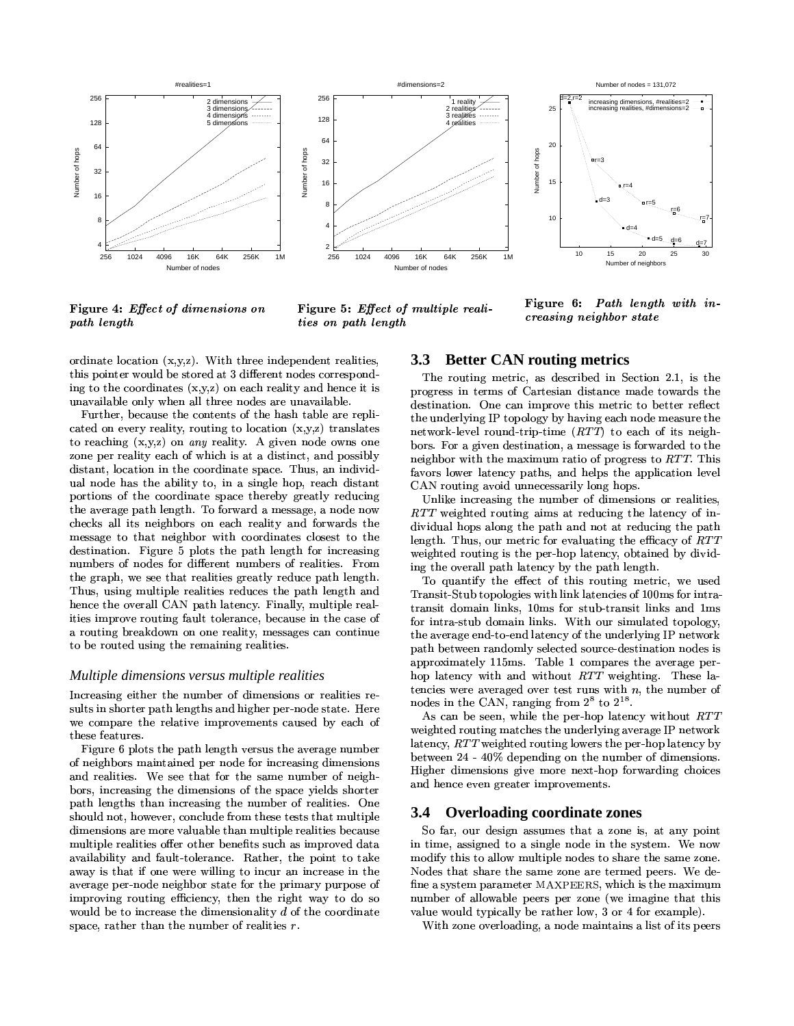

Figure 4: Effect of dimensions on path length

Figure 5: Effect of multiple realities on path length

Figure 6: Path length with in*creasing neighbor state* 

ordinate location  $(x,y,z)$ . With three independent realities, this pointer would be stored at 3 different nodes corresponding to the coordinates  $(x, y, z)$  on each reality and hence it is unavailable only when all three nodes are unavailable.

Further, because the contents of the hash table are replicated on every reality, routing to location  $(x,y,z)$  translates to reaching  $(x, y, z)$  on *any* reality. A given node owns one zone per reality each of which is at a distinct, and possibly distant, location in the coordinate space. Thus, an individual node has the ability to, in a single hop, reach distant portions of the coordinate space thereby greatly reducing the average path length. To forward a message, a node now checks all its neighbors on each reality and forwards the message to that neighbor with coordinates closest to the destination. Figure 5 plots the path length for increasing numbers of nodes for different numbers of realities. From the graph, we see that realities greatly reduce path length. Thus, using multiple realities reduces the path length and hence the overall CAN path latency. Finally, multiple realities improve routing fault tolerance, because in the case of a routing breakdown on one reality, messages can continue to be routed using the remaining realities.

### Multiple dimensions versus multiple realities

Increasing either the number of dimensions or realities results in shorter path lengths and higher per-node state. Here we compare the relative improvements caused by each of these features.

Figure 6 plots the path length versus the average number of neighbors maintained per node for increasing dimensions and realities. We see that for the same number of neighbors, increasing the dimensions of the space yields shorter path lengths than increasing the number of realities. One should not, however, conclude from these tests that multiple dimensions are more valuable than multiple realities because multiple realities offer other benefits such as improved data availability and fault-tolerance. Rather, the point to take away is that if one were willing to incur an increase in the average per-node neighbor state for the primary purpose of improving routing efficiency, then the right way to do so would be to increase the dimensionality  $d$  of the coordinate space, rather than the number of realities  $r$ .

## 3.3 Better CAN routing metrics

The routing metric, as described in Section 2.1, is the progress in terms of Cartesian distance made towards the destination. One can improve this metric to better reflect the underlying IP topology by having each node measure the network-level round-trip-time  $(RTT)$  to each of its neighbors. For a given destination, a message is forwarded to the neighbor with the maximum ratio of progress to  $RTT$ . This favors lower latency paths, and helps the application level CAN routing avoid unnecessarily long hops.

Unlike increasing the number of dimensions or realities,  $RTT$  weighted routing aims at reducing the latency of individual hops along the path and not at reducing the path length. Thus, our metric for evaluating the efficacy of  $RTT$ weighted routing is the per-hop latency, obtained by dividing the overall path latency by the path length.

To quantify the effect of this routing metric, we used Transit-Stub topologies with link latencies of 100ms for intratransit domain links, 10ms for stub-transit links and 1ms for intra-stub domain links. With our simulated topology, the average end-to-end latency of the underlying IP network path between randomly selected source-destination nodes is approximately 115ms. Table 1 compares the average perhop latency with and without RTT weighting. These latencies were averaged over test runs with  $n$ , the number of nodes in the CAN, ranging from  $2^8$  to  $2^{18}$ .

As can be seen, while the per-hop latency without RTT weighted routing matches the underlying average IP network latency, RTT weighted routing lowers the per-hop latency by between 24 - 40% depending on the number of dimensions. Higher dimensions give more next-hop forwarding choices and hence even greater improvements.

### 3.4 Overloading coordinate zones

So far, our design assumes that a zone is, at any point in time, assigned to a single node in the system. We now modify this to allow multiple nodes to share the same zone. Nodes that share the same zone are termed peers. We define a system parameter MAXPEERS, which is the maximum number of allowable peers per zone (we imagine that this value would typically be rather low, 3 or 4 for example).

With zone overloading, a node maintains a list of its peers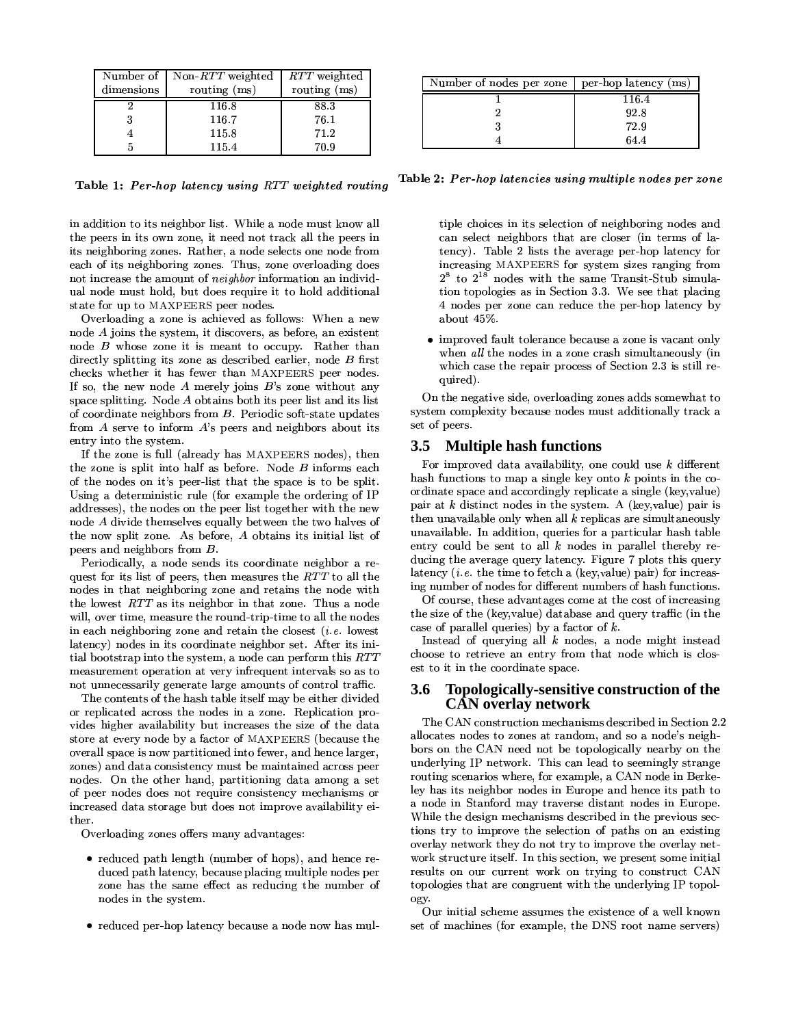| Number of  | Non- $RTT$ weighted | $RTT$ weighted |
|------------|---------------------|----------------|
| dimensions | routing (ms)        | routing $(ms)$ |
|            | 116.8               | 883            |
|            | 116.7               | 76.1           |
|            | 115.8               | 71.2           |
|            | 115.4               | 70.9           |

Table 2: Per-hop latencies using multiple nodes per zone Table 1: Per-hop latency using RTT weighted routing

in addition to its neighbor list. While a node must know all the peers in its own zone, it need not track all the peers in its neighboring zones. Rather, a node selects one node from each of its neighboring zones. Thus, zone overloading does not increase the amount of *neighbor* information an individual node must hold, but does require it to hold additional state for up to MAXPEERS peer nodes.

Overloading a zone is achieved as follows: When a new node A joins the system, it discovers, as before, an existent node  $B$  whose zone it is meant to occupy. Rather than directly splitting its zone as described earlier, node  $B$  first checks whether it has fewer than MAXPEERS peer nodes. If so, the new node A merely joins  $B$ 's zone without any space splitting. Node  $A$  obtains both its peer list and its list of coordinate neighbors from  $B$ . Periodic soft-state updates from  $A$  serve to inform  $A$ 's peers and neighbors about its entry into the system.

If the zone is full (already has MAXPEERS nodes), then the zone is split into half as before. Node  $B$  informs each of the nodes on it's peer-list that the space is to be split. Using a deterministic rule (for example the ordering of IP addresses), the nodes on the peer list together with the new node A divide themselves equally between the two halves of the now split zone. As before, A obtains its initial list of peers and neighbors from B.

Periodically, a node sends its coordinate neighbor a request for its list of peers, then measures the  $RTT$  to all the nodes in that neighboring zone and retains the node with the lowest  $RTT$  as its neighbor in that zone. Thus a node will, over time, measure the round-trip-time to all the nodes in each neighboring zone and retain the closest  $(i.e.$  lowest latency) nodes in its coordinate neighbor set. After its initial bootstrap into the system, a node can perform this RTT measurement operation at very infrequent intervals so as to not unnecessarily generate large amounts of control traffic.

The contents of the hash table itself may be either divided or replicated across the nodes in a zone. Replication provides higher availability but increases the size of the data store at every node by a factor of MAXPEERS (because the overall space is now partitioned into fewer, and hence larger, zones) and data consistency must be maintained across peer nodes. On the other hand, partitioning data among a set of peer nodes does not require consistency mechanisms or increased data storage but does not improve availability either.

Overloading zones offers many advantages:

- reduced path length (number of hops), and hence reduced path latency, because placing multiple nodes per zone has the same effect as reducing the number of nodes in the system.
- reduced per-hop latency because a node now has mul-

tiple choices in its selection of neighboring nodes and can select neighbors that are closer (in terms of latency). Table 2 lists the average per-hop latency for increasing MAXPEERS for system sizes ranging from  $2^8$  to  $2^{18}$  nodes with the same Transit-Stub simulation topologies as in Section 3.3. We see that placing 4 nodes per zone can reduce the per-hop latency by

• improved fault tolerance because a zone is vacant only when all the nodes in a zone crash simultaneously (in which case the repair process of Section 2.3 is still required).

On the negative side, overloading zones adds somewhat to system complexity because nodes must additionally track a set of peers.

### 3.5 Multiple hash functions

about 45%.

For improved data availability, one could use  $k$  different hash functions to map a single key onto  $k$  points in the coordinate space and accordingly replicate a single (key, value) pair at  $k$  distinct nodes in the system. A (key, value) pair is then unavailable only when all  $k$  replicas are simultaneously unavailable. In addition, queries for a particular hash table entry could be sent to all  $k$  nodes in parallel thereby reducing the average query latency. Figure 7 plots this query latency (*i.e.* the time to fetch a (key, value) pair) for increasing number of nodes for different numbers of hash functions.

Of course, these advantages come at the cost of increasing the size of the (key, value) database and query traffic (in the case of parallel queries) by a factor of  $k$ .

Instead of querying all  $k$  nodes, a node might instead choose to retrieve an entry from that node which is closest to it in the coordinate space.

### Topologically-sensitive construction of the **3.6 CAN** overlay network

The CAN construction mechanisms described in Section 2.2 allocates nodes to zones at random, and so a node's neighbors on the CAN need not be topologically nearby on the underlying IP network. This can lead to seemingly strange routing scenarios where, for example, a CAN node in Berkeley has its neighbor nodes in Europe and hence its path to a node in Stanford may traverse distant nodes in Europe. While the design mechanisms described in the previous sections try to improve the selection of paths on an existing overlay network they do not try to improve the overlay network structure itself. In this section, we present some initial results on our current work on trying to construct CAN topologies that are congruent with the underlying IP topology.

Our initial scheme assumes the existence of a well known set of machines (for example, the DNS root name servers)

| Number of nodes per zone | per-hop latency (ms) |
|--------------------------|----------------------|
|                          | 116.4                |
|                          | 92.8                 |
|                          | 72.9                 |
|                          | i4 4                 |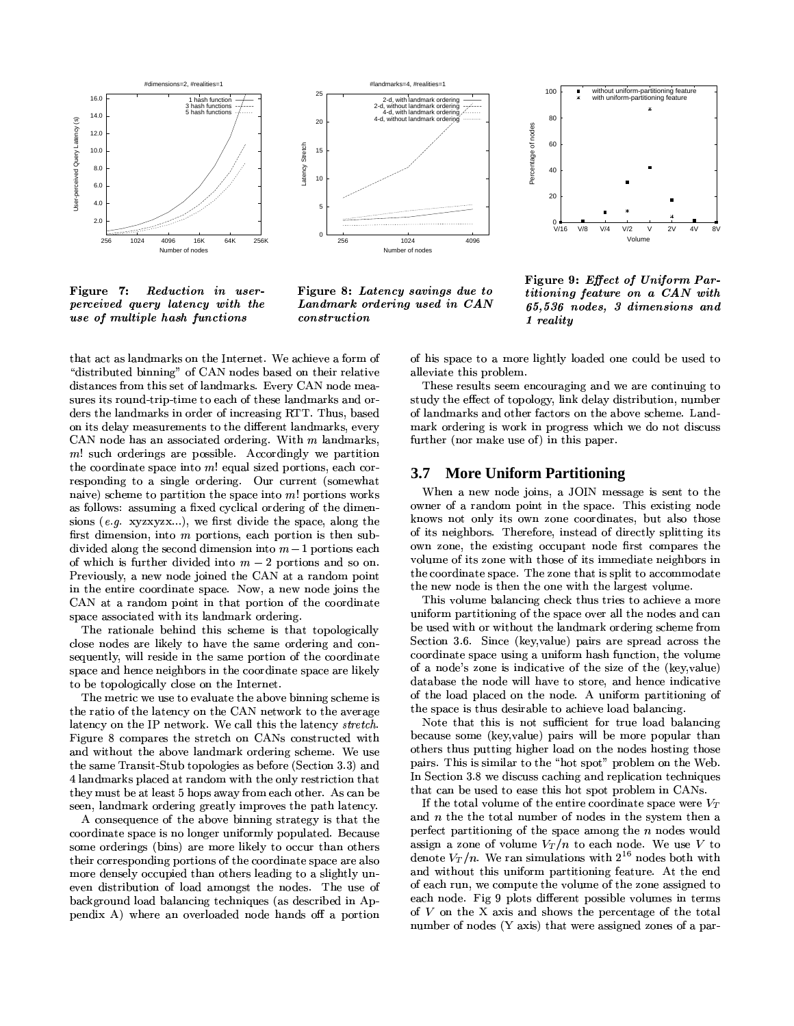



Figure 7: Reduction in userperceived query latency with the use of multiple hash functions

Figure 8: Latency savings due to Landmark ordering used in CAN  $construction$ 



Figure 9: Effect of Uniform Partitioning feature on a CAN with 65,536 nodes, 3 dimensions and 1 reality

that act as landmarks on the Internet. We achieve a form of "distributed binning" of CAN nodes based on their relative distances from this set of landmarks. Every CAN node measures its round-trip-time to each of these landmarks and orders the landmarks in order of increasing RTT. Thus, based on its delay measurements to the different landmarks, every CAN node has an associated ordering. With  $m$  landmarks,  $m!$  such orderings are possible. Accordingly we partition the coordinate space into  $m!$  equal sized portions, each corresponding to a single ordering. Our current (somewhat naive) scheme to partition the space into  $m!$  portions works as follows: assuming a fixed cyclical ordering of the dimensions (e.g. xyzxyzx...), we first divide the space, along the first dimension, into  $m$  portions, each portion is then subdivided along the second dimension into  $m-1$  portions each of which is further divided into  $m-2$  portions and so on. Previously, a new node joined the CAN at a random point in the entire coordinate space. Now, a new node joins the CAN at a random point in that portion of the coordinate space associated with its landmark ordering.

The rationale behind this scheme is that topologically close nodes are likely to have the same ordering and consequently, will reside in the same portion of the coordinate space and hence neighbors in the coordinate space are likely to be topologically close on the Internet.

The metric we use to evaluate the above binning scheme is the ratio of the latency on the CAN network to the average latency on the IP network. We call this the latency stretch. Figure 8 compares the stretch on CANs constructed with and without the above landmark ordering scheme. We use the same Transit-Stub topologies as before (Section 3.3) and 4 landmarks placed at random with the only restriction that they must be at least 5 hops away from each other. As can be seen, landmark ordering greatly improves the path latency.

A consequence of the above binning strategy is that the coordinate space is no longer uniformly populated. Because some orderings (bins) are more likely to occur than others their corresponding portions of the coordinate space are also more densely occupied than others leading to a slightly uneven distribution of load amongst the nodes. The use of background load balancing techniques (as described in Appendix A) where an overloaded node hands off a portion of his space to a more lightly loaded one could be used to alleviate this problem.

These results seem encouraging and we are continuing to study the effect of topology, link delay distribution, number of landmarks and other factors on the above scheme. Landmark ordering is work in progress which we do not discuss further (nor make use of) in this paper.

#### **More Uniform Partitioning** 3.7

When a new node joins, a JOIN message is sent to the owner of a random point in the space. This existing node knows not only its own zone coordinates, but also those of its neighbors. Therefore, instead of directly splitting its own zone, the existing occupant node first compares the volume of its zone with those of its immediate neighbors in the coordinate space. The zone that is split to accommodate the new node is then the one with the largest volume.

This volume balancing check thus tries to achieve a more uniform partitioning of the space over all the nodes and can be used with or without the landmark ordering scheme from Section 3.6. Since (key, value) pairs are spread across the coordinate space using a uniform hash function, the volume of a node's zone is indicative of the size of the (key, value) database the node will have to store, and hence indicative of the load placed on the node. A uniform partitioning of the space is thus desirable to achieve load balancing.

Note that this is not sufficient for true load balancing because some (key, value) pairs will be more popular than others thus putting higher load on the nodes hosting those pairs. This is similar to the "hot spot" problem on the Web. In Section 3.8 we discuss caching and replication techniques that can be used to ease this hot spot problem in CANs.

If the total volume of the entire coordinate space were  $V_T$ and  $n$  the the total number of nodes in the system then a perfect partitioning of the space among the  $n$  nodes would assign a zone of volume  $V_T/n$  to each node. We use V to denote  $V_T/n$ . We ran simulations with  $2^{16}$  nodes both with and without this uniform partitioning feature. At the end of each run, we compute the volume of the zone assigned to each node. Fig 9 plots different possible volumes in terms of  $V$  on the X axis and shows the percentage of the total number of nodes (Y axis) that were assigned zones of a par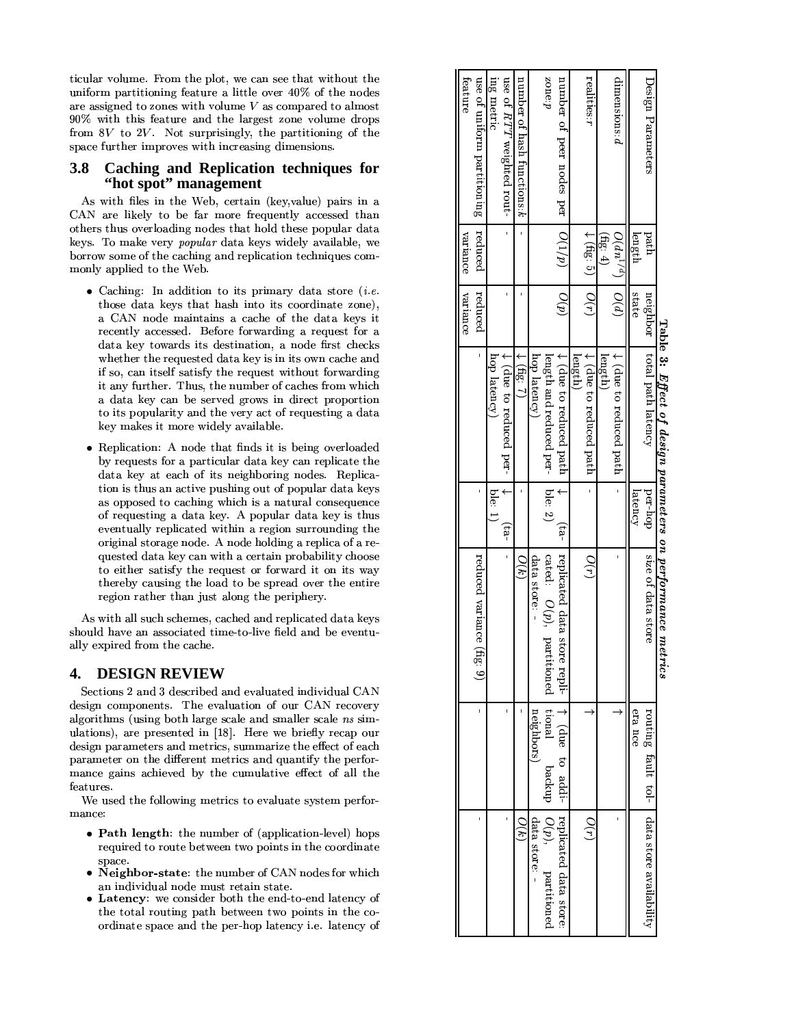ticular volume. From the plot, we can see that without the uniform partitioning feature a little over 40% of the nodes are assigned to zones with volume  $V$  as compared to almost 90% with this feature and the largest zone volume drops from  $8V$  to  $2V$ . Not surprisingly, the partitioning of the space further improves with increasing dimensions.

### $3.8$ Caching and Replication techniques for "hot spot" management

As with files in the Web, certain (key, value) pairs in a CAN are likely to be far more frequently accessed than others thus overloading nodes that hold these popular data keys. To make very *popular* data keys widely available, we borrow some of the caching and replication techniques commonly applied to the Web.

- Caching: In addition to its primary data store (*i.e.* those data keys that hash into its coordinate zone). a CAN node maintains a cache of the data keys it recently accessed. Before forwarding a request for a data key towards its destination, a node first checks whether the requested data key is in its own cache and if so, can itself satisfy the request without forwarding it any further. Thus, the number of caches from which a data key can be served grows in direct proportion to its popularity and the very act of requesting a data key makes it more widely available.
- Replication: A node that finds it is being overloaded by requests for a particular data key can replicate the data key at each of its neighboring nodes. Replication is thus an active pushing out of popular data keys as opposed to caching which is a natural consequence of requesting a data key. A popular data key is thus eventually replicated within a region surrounding the original storage node. A node holding a replica of a requested data key can with a certain probability choose to either satisfy the request or forward it on its way thereby causing the load to be spread over the entire region rather than just along the periphery.

As with all such schemes, cached and replicated data keys should have an associated time-to-live field and be eventually expired from the cache.

# 4. DESIGN REVIEW

Sections 2 and 3 described and evaluated individual CAN design components. The evaluation of our CAN recovery algorithms (using both large scale and smaller scale ns simulations), are presented in [18]. Here we briefly recap our design parameters and metrics, summarize the effect of each parameter on the different metrics and quantify the performance gains achieved by the cumulative effect of all the features.

We used the following metrics to evaluate system performance:

- Path length: the number of (application-level) hops required to route between two points in the coordinate space.
- Neighbor-state: the number of CAN nodes for which an individual node must retain state.
- Latency: we consider both the end-to-end latency of the total routing path between two points in the coordinate space and the per-hop latency i.e. latency of

|                             |                                           |                 |                                   |                       | lable 3: Effect of design parameters on performance metrics |                    |                                                                                                                                          |
|-----------------------------|-------------------------------------------|-----------------|-----------------------------------|-----------------------|-------------------------------------------------------------|--------------------|------------------------------------------------------------------------------------------------------------------------------------------|
| Design Parameters           | path                                      | neighbor        | total path latency                | ber-pop               | size of data store                                          | routing fault tol- | data store availability                                                                                                                  |
|                             | length                                    | state           |                                   | latency               |                                                             | era nce            |                                                                                                                                          |
| dimensions:d                | $O(dn^{1/a})$                             | $\widetilde{p}$ | $\downarrow$ (due to reduced path |                       |                                                             |                    |                                                                                                                                          |
|                             | $(\text{fig: } 4)$                        |                 | length.                           |                       |                                                             |                    |                                                                                                                                          |
| realities:r                 | $\downarrow$ ( $\text{fig: 5}$ )   $O(r)$ |                 | $\downarrow$ (due to reduced path |                       | O(r)                                                        |                    | U <sub>r</sub>                                                                                                                           |
|                             |                                           |                 | length                            |                       |                                                             |                    |                                                                                                                                          |
| number of peer nodes per    | (6(1/p))                                  | $\overline{C}$  | $\downarrow$ (due to reduced path | ta-                   | replicated data store repli-                                |                    |                                                                                                                                          |
| d:auoz                      |                                           |                 | length and reduced per-           | $\frac{1}{1}$ ble: 2) | cated: $O(p)$ , partitioned                                 |                    | $\begin{array}{ccc} \uparrow & (\text{due to addi} & \text{replicated data store}) \\ \text{tional} & \text{backup} & O(p), \end{array}$ |
|                             |                                           |                 | hop latency)                      |                       | data store: -                                               | neighbors)         | data store: -                                                                                                                            |
| number of hash functions:k  |                                           |                 | $\downarrow$ (fig: 7)             |                       | UK)                                                         |                    | O(k)                                                                                                                                     |
| use of RTT weighted rout-   |                                           |                 | (due to reduced per-              | $_{\rm eq}$           |                                                             |                    |                                                                                                                                          |
| mg metric                   |                                           |                 | hop latency)                      | ble:                  |                                                             |                    |                                                                                                                                          |
| use of uniform partitioning | neduced                                   | reduced         |                                   |                       | reduced variance<br>$(\mathrm{fig: 9})$                     |                    |                                                                                                                                          |
| feature                     | variance                                  | variance        |                                   |                       |                                                             |                    |                                                                                                                                          |
|                             |                                           |                 |                                   |                       |                                                             |                    |                                                                                                                                          |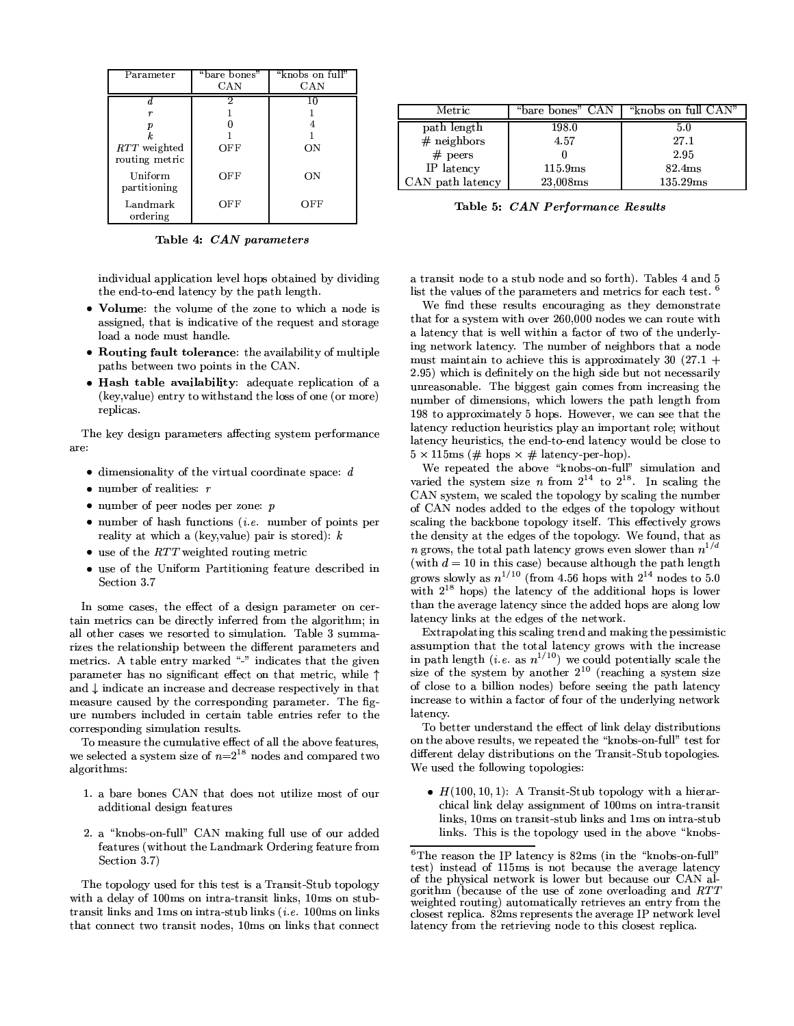| Parameter                      | "bare bones"<br>CAN | "knobs on full"<br>CAN |
|--------------------------------|---------------------|------------------------|
|                                | 2                   | 10                     |
| r                              |                     |                        |
| р                              |                     |                        |
|                                |                     |                        |
| RTT weighted<br>routing metric | OFF                 | OΝ                     |
| Uniform<br>partitioning        | OFF                 | OΝ                     |
| Landmark<br>ordering           | OFF                 | OFF                    |

Table 4: CAN parameters

individual application level hops obtained by dividing the end-to-end latency by the path length.

- Volume: the volume of the zone to which a node is assigned, that is indicative of the request and storage load a node must handle.
- Routing fault tolerance: the availability of multiple paths between two points in the CAN.
- Hash table availability: adequate replication of a (key, value) entry to withstand the loss of one (or more) replicas.

The key design parameters affecting system performance are:

- $\bullet$  dimensionality of the virtual coordinate space:  $d$
- $\bullet$  number of realities:  $r$
- $\bullet$  number of peer nodes per zone: p
- $\bullet$  number of hash functions (*i.e.* number of points per reality at which a (key, value) pair is stored):  $k$
- $\bullet$  use of the *RTT* weighted routing metric
- · use of the Uniform Partitioning feature described in Section 3.7

In some cases, the effect of a design parameter on certain metrics can be directly inferred from the algorithm; in all other cases we resorted to simulation. Table 3 summarizes the relationship between the different parameters and metrics. A table entry marked "-" indicates that the given parameter has no significant effect on that metric, while  $\uparrow$ and L indicate an increase and decrease respectively in that measure caused by the corresponding parameter. The figure numbers included in certain table entries refer to the corresponding simulation results.

To measure the cumulative effect of all the above features, we selected a system size of  $n=2^{18}$  nodes and compared two algorithms:

- 1. a bare bones CAN that does not utilize most of our additional design features
- 2. a "knobs-on-full" CAN making full use of our added features (without the Landmark Ordering feature from Section 3.7)

The topology used for this test is a Transit-Stub topology with a delay of 100ms on intra-transit links, 10ms on stubtransit links and 1ms on intra-stub links (*i.e.* 100ms on links that connect two transit nodes, 10ms on links that connect

| Metric           | "bare bones" CAN | "knobs on full CAN" |
|------------------|------------------|---------------------|
| path length      | 198.0            | 5.0                 |
| $#$ neighbors    | 4.57             | 27.1                |
| $#$ peers        |                  | 2.95                |
| IP latency       | 115.9ms          | 82.4 <sub>ms</sub>  |
| CAN path latency | 23,008ms         | 135.29ms            |

Table 5: CAN Performance Results

a transit node to a stub node and so forth). Tables 4 and 5 list the values of the parameters and metrics for each test.<sup>6</sup>

We find these results encouraging as they demonstrate that for a system with over 260,000 nodes we can route with a latency that is well within a factor of two of the underlying network latency. The number of neighbors that a node must maintain to achieve this is approximately 30 (27.1 + 2.95) which is definitely on the high side but not necessarily unreasonable. The biggest gain comes from increasing the number of dimensions, which lowers the path length from 198 to approximately 5 hops. However, we can see that the latency reduction heuristics play an important role; without latency heuristics, the end-to-end latency would be close to  $5 \times 115 \text{ms}$  (# hops  $\times$  # latency-per-hop).

We repeated the above "knobs-on-full" simulation and varied the system size *n* from  $2^{14}$  to  $2^{18}$ . In scaling the CAN system, we scaled the topology by scaling the number of CAN nodes added to the edges of the topology without scaling the backbone topology itself. This effectively grows the density at the edges of the topology. We found, that as *n* grows, the total path latency grows even slower than  $n^{1/d}$ (with  $d = 10$  in this case) because although the path length grows slowly as  $n^{1/10}$  (from 4.56 hops with  $2^{14}$  nodes to 5.0) with  $2^{18}$  hops) the latency of the additional hops is lower than the average latency since the added hops are along low latency links at the edges of the network.

Extrapolating this scaling trend and making the pessimistic assumption that the total latency grows with the increase in path length (*i.e.* as  $n^{1/10}$ ) we could potentially scale the size of the system by another  $2^{10}$  (reaching a system size of close to a billion nodes) before seeing the path latency increase to within a factor of four of the underlying network latency.

To better understand the effect of link delay distributions on the above results, we repeated the "knobs-on-full" test for different delay distributions on the Transit-Stub topologies. We used the following topologies:

•  $H(100, 10, 1)$ : A Transit-Stub topology with a hierarchical link delay assignment of 100ms on intra-transit links,  $10\mathrm{ms}$  on transit-stub links and  $1\mathrm{ms}$  on intra-stub links. This is the topology used in the above "knobs-

 ${}^{6}$ The reason the IP latency is 82ms (in the "knobs-on-full" test) instead of 115ms is not because the average latency of the physical network is lower but because our CAN algorithm (because of the use of zone overloading and RTT weighted routing) automatically retrieves an entry from the closest replica. 82ms represents the average IP network level latency from the retrieving node to this closest replica.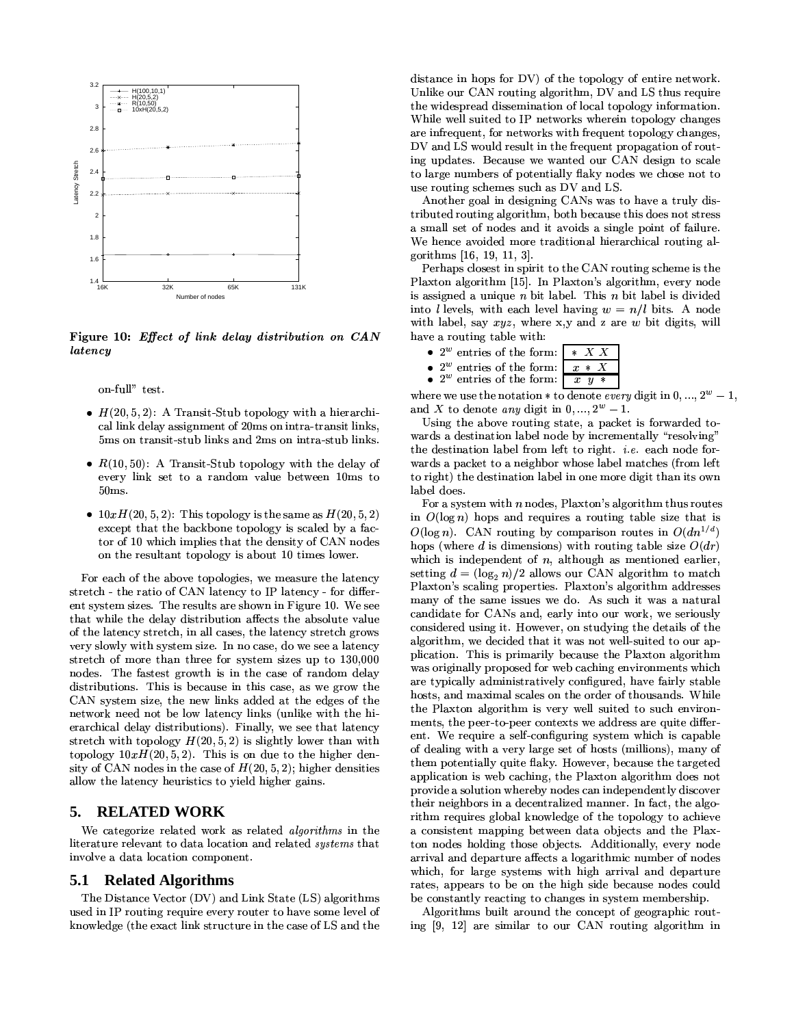

Figure 10: Effect of link delay distribution on CAN latency

on-full" test.

- $H(20, 5, 2)$ : A Transit-Stub topology with a hierarchical link delay assignment of 20ms on intra-transit links, 5ms on transit-stub links and 2ms on intra-stub links.
- $R(10, 50)$ : A Transit-Stub topology with the delay of every link set to a random value between 10ms to  $50ms$ .
- $10xH(20, 5, 2)$ : This topology is the same as  $H(20, 5, 2)$ except that the backbone topology is scaled by a factor of 10 which implies that the density of CAN nodes on the resultant topology is about 10 times lower.

For each of the above topologies, we measure the latency stretch - the ratio of CAN latency to IP latency - for different system sizes. The results are shown in Figure 10. We see that while the delay distribution affects the absolute value of the latency stretch, in all cases, the latency stretch grows very slowly with system size. In no case, do we see a latency stretch of more than three for system sizes up to 130,000 nodes. The fastest growth is in the case of random delay distributions. This is because in this case, as we grow the CAN system size, the new links added at the edges of the network need not be low latency links (unlike with the hierarchical delay distributions). Finally, we see that latency stretch with topology  $H(20, 5, 2)$  is slightly lower than with topology  $10xH(20, 5, 2)$ . This is on due to the higher density of CAN nodes in the case of  $H(20, 5, 2)$ ; higher densities allow the latency heuristics to yield higher gains.

#### **RELATED WORK** 5.

We categorize related work as related *algorithms* in the literature relevant to data location and related *systems* that involve a data location component.

#### **Related Algorithms** 5.1

The Distance Vector (DV) and Link State (LS) algorithms used in IP routing require every router to have some level of knowledge (the exact link structure in the case of LS and the

distance in hops for DV) of the topology of entire network. Unlike our CAN routing algorithm, DV and LS thus require the widespread dissemination of local topology information. While well suited to IP networks wherein topology changes are infrequent, for networks with frequent topology changes, DV and LS would result in the frequent propagation of routing updates. Because we wanted our CAN design to scale to large numbers of potentially flaky nodes we chose not to use routing schemes such as DV and LS.

Another goal in designing CANs was to have a truly distributed routing algorithm, both because this does not stress a small set of nodes and it avoids a single point of failure. We hence avoided more traditional hierarchical routing algorithms [16, 19, 11, 3].

Perhaps closest in spirit to the CAN routing scheme is the Plaxton algorithm [15]. In Plaxton's algorithm, every node is assigned a unique  $n$  bit label. This  $n$  bit label is divided into l levels, with each level having  $w = n/l$  bits. A node with label, say  $xyz$ , where x,y and z are w bit digits, will have a routing table with:

- $\bullet$  2<sup>*w*</sup> entries of the form:  $*$  X X
- $\bullet$  2<sup>w</sup> entries of the form:
- $\bullet$   $2^w$  entries of the form:  $\overline{x}$   $\overline{u}$

where we use the notation  $*$  to denote *every* digit in 0, ...,  $2^w - 1$ . and X to denote any digit in  $0, ..., 2^w - 1$ .

Using the above routing state, a packet is forwarded towards a destination label node by incrementally "resolving" the destination label from left to right. *i.e.* each node forwards a packet to a neighbor whose label matches (from left to right) the destination label in one more digit than its own label does.

For a system with  $n$  nodes, Plaxton's algorithm thus routes in  $O(\log n)$  hops and requires a routing table size that is  $O(\log n)$ . CAN routing by comparison routes in  $O(dn^{1/d})$ hops (where d is dimensions) with routing table size  $O(dr)$ which is independent of  $n$ , although as mentioned earlier, setting  $d = (\log_2 n)/2$  allows our CAN algorithm to match Plaxton's scaling properties. Plaxton's algorithm addresses many of the same issues we do. As such it was a natural candidate for CANs and, early into our work, we seriously considered using it. However, on studying the details of the algorithm, we decided that it was not well-suited to our application. This is primarily because the Plaxton algorithm was originally proposed for web caching environments which are typically administratively configured, have fairly stable hosts, and maximal scales on the order of thousands. While the Plaxton algorithm is very well suited to such environments, the peer-to-peer contexts we address are quite different. We require a self-configuring system which is capable of dealing with a very large set of hosts (millions), many of them potentially quite flaky. However, because the targeted application is web caching, the Plaxton algorithm does not provide a solution whereby nodes can independently discover their neighbors in a decentralized manner. In fact, the algorithm requires global knowledge of the topology to achieve a consistent mapping between data objects and the Plaxton nodes holding those objects. Additionally, every node arrival and departure affects a logarithmic number of nodes which, for large systems with high arrival and departure rates, appears to be on the high side because nodes could be constantly reacting to changes in system membership.

Algorithms built around the concept of geographic routing [9, 12] are similar to our CAN routing algorithm in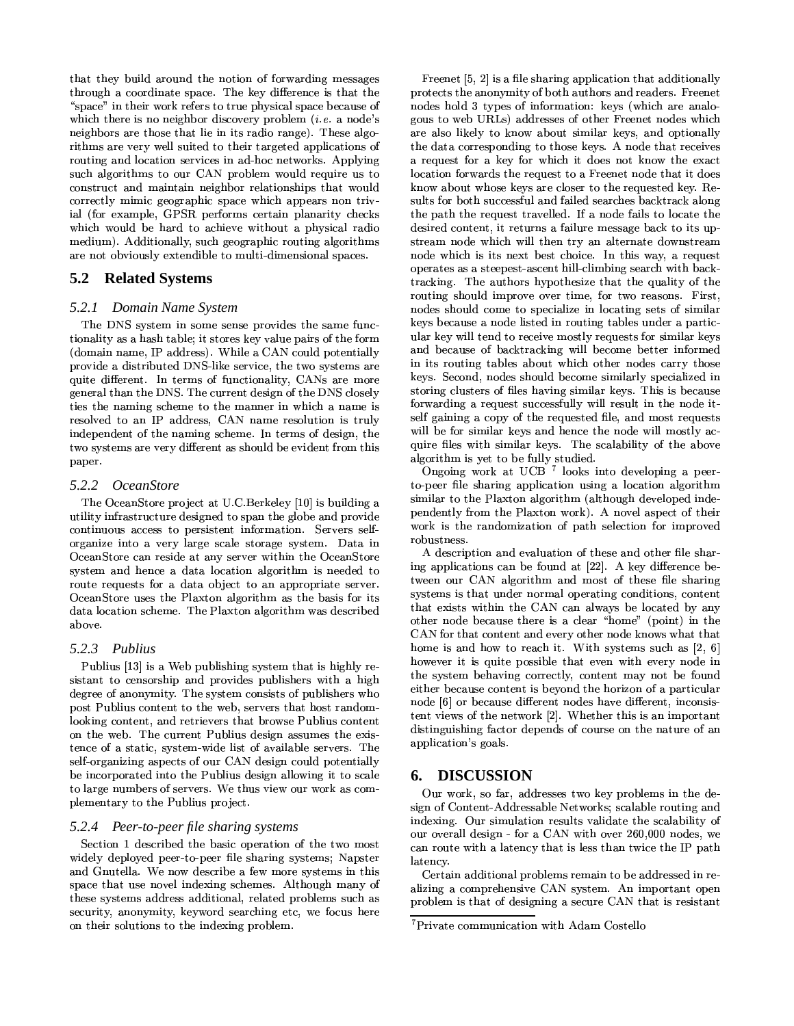that they build around the notion of forwarding messages through a coordinate space. The key difference is that the "space" in their work refers to true physical space because of which there is no neighbor discovery problem  $(i.e. a node)$ 's neighbors are those that lie in its radio range). These algorithms are very well suited to their targeted applications of routing and location services in ad-hoc networks. Applying such algorithms to our CAN problem would require us to construct and maintain neighbor relationships that would correctly mimic geographic space which appears non trivial (for example, GPSR performs certain planarity checks which would be hard to achieve without a physical radio medium). Additionally, such geographic routing algorithms are not obviously extendible to multi-dimensional spaces.

#### 5.2 **Related Systems**

#### $5.2.1$ Domain Name System

The DNS system in some sense provides the same functionality as a hash table; it stores key value pairs of the form (domain name, IP address). While a CAN could potentially provide a distributed DNS-like service, the two systems are quite different. In terms of functionality, CANs are more general than the DNS. The current design of the DNS closely ties the naming scheme to the manner in which a name is resolved to an IP address, CAN name resolution is truly independent of the naming scheme. In terms of design, the two systems are very different as should be evident from this paper.

#### 5.2.2 *OceanStore*

The OceanStore project at U.C.Berkeley [10] is building a utility infrastructure designed to span the globe and provide continuous access to persistent information. Servers selforganize into a very large scale storage system. Data in OceanStore can reside at any server within the OceanStore system and hence a data location algorithm is needed to route requests for a data object to an appropriate server. OceanStore uses the Plaxton algorithm as the basis for its data location scheme. The Plaxton algorithm was described above.

### 5.2.3 Publius

Publius [13] is a Web publishing system that is highly resistant to censorship and provides publishers with a high degree of anonymity. The system consists of publishers who post Publius content to the web, servers that host randomlooking content, and retrievers that browse Publius content on the web. The current Publius design assumes the existence of a static, system-wide list of available servers. The self-organizing aspects of our CAN design could potentially be incorporated into the Publius design allowing it to scale to large numbers of servers. We thus view our work as complementary to the Publius project.

### 5.2.4 Peer-to-peer file sharing systems

Section 1 described the basic operation of the two most widely deployed peer-to-peer file sharing systems; Napster and Gnutella. We now describe a few more systems in this space that use novel indexing schemes. Although many of these systems address additional, related problems such as security, anonymity, keyword searching etc, we focus here on their solutions to the indexing problem.

Freenet [5, 2] is a file sharing application that additionally protects the anonymity of both authors and readers. Freenet nodes hold 3 types of information: keys (which are analogous to web URLs) addresses of other Freenet nodes which are also likely to know about similar keys, and optionally the data corresponding to those keys. A node that receives a request for a key for which it does not know the exact location forwards the request to a Freenet node that it does know about whose keys are closer to the requested key. Results for both successful and failed searches backtrack along the path the request travelled. If a node fails to locate the desired content, it returns a failure message back to its upstream node which will then try an alternate downstream node which is its next best choice. In this way, a request operates as a steepest-ascent hill-climbing search with backtracking. The authors hypothesize that the quality of the routing should improve over time, for two reasons. First, nodes should come to specialize in locating sets of similar keys because a node listed in routing tables under a particular key will tend to receive mostly requests for similar keys and because of backtracking will become better informed in its routing tables about which other nodes carry those keys. Second, nodes should become similarly specialized in storing clusters of files having similar keys. This is because forwarding a request successfully will result in the node itself gaining a copy of the requested file, and most requests will be for similar keys and hence the node will mostly acquire files with similar keys. The scalability of the above algorithm is yet to be fully studied.

Ongoing work at UCB  $7$  looks into developing a peerto-peer file sharing application using a location algorithm similar to the Plaxton algorithm (although developed independently from the Plaxton work). A novel aspect of their work is the randomization of path selection for improved robustness.

A description and evaluation of these and other file sharing applications can be found at [22]. A key difference between our CAN algorithm and most of these file sharing systems is that under normal operating conditions, content that exists within the CAN can always be located by any other node because there is a clear "home" (point) in the CAN for that content and every other node knows what that home is and how to reach it. With systems such as [2, 6] however it is quite possible that even with every node in the system behaving correctly, content may not be found either because content is beyond the horizon of a particular node [6] or because different nodes have different, inconsistent views of the network [2]. Whether this is an important distinguishing factor depends of course on the nature of an application's goals.

# 6. DISCUSSION

Our work, so far, addresses two key problems in the design of Content-Addressable Networks; scalable routing and indexing. Our simulation results validate the scalability of our overall design - for a CAN with over 260,000 nodes, we can route with a latency that is less than twice the IP path latency.

Certain additional problems remain to be addressed in realizing a comprehensive CAN system. An important open problem is that of designing a secure CAN that is resistant

 ${\rm ^7}$  Private communication with Adam Costello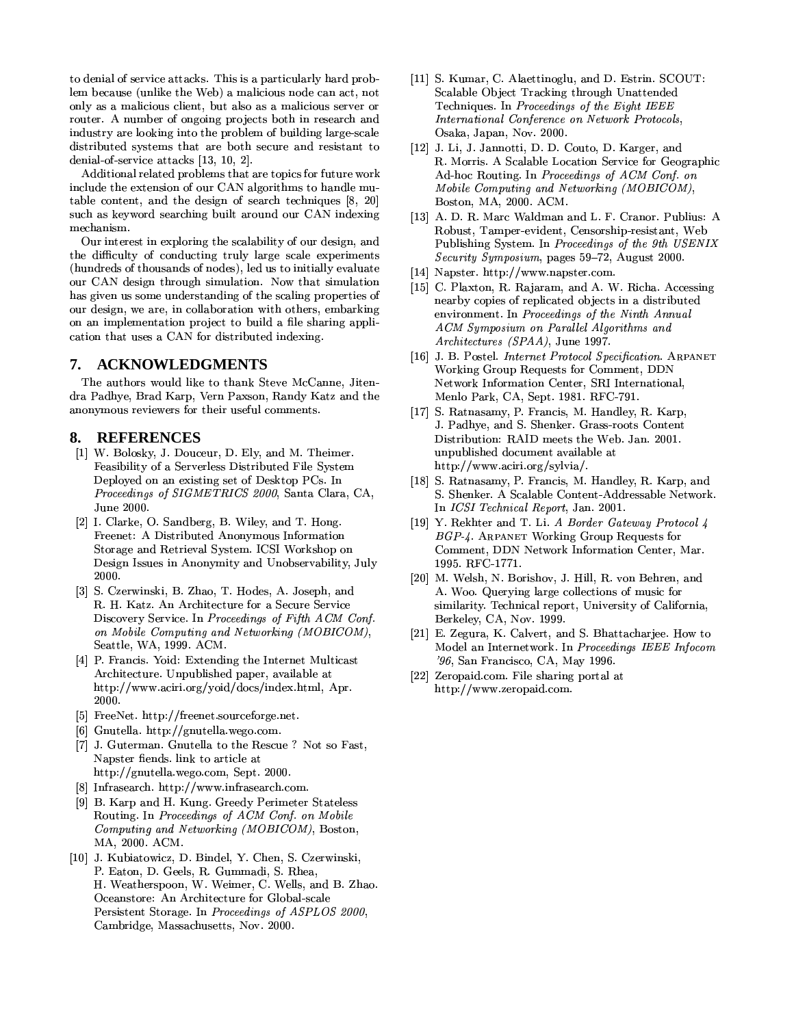to denial of service attacks. This is a particularly hard problem because (unlike the Web) a malicious node can act, not only as a malicious client, but also as a malicious server or router. A number of ongoing projects both in research and industry are looking into the problem of building large-scale distributed systems that are both secure and resistant to denial-of-service attacks [13, 10, 2].

Additional related problems that are topics for future work include the extension of our CAN algorithms to handle mutable content, and the design of search techniques [8, 20] such as keyword searching built around our CAN indexing mechanism.

Our interest in exploring the scalability of our design, and the difficulty of conducting truly large scale experiments (hundreds of thousands of nodes), led us to initially evaluate our CAN design through simulation. Now that simulation has given us some understanding of the scaling properties of our design, we are, in collaboration with others, embarking on an implementation project to build a file sharing application that uses a CAN for distributed indexing.

#### **ACKNOWLEDGMENTS** 7.

The authors would like to thank Steve McCanne, Jitendra Padhye, Brad Karp, Vern Paxson, Randy Katz and the anonymous reviewers for their useful comments.

## 8. REFERENCES

- [1] W. Bolosky, J. Douceur, D. Ely, and M. Theimer. Feasibility of a Serverless Distributed File System Deployed on an existing set of Desktop PCs. In Proceedings of SIGMETRICS 2000, Santa Clara, CA, June 2000.
- [2] I. Clarke, O. Sandberg, B. Wiley, and T. Hong. Freenet: A Distributed Anonymous Information Storage and Retrieval System. ICSI Workshop on Design Issues in Anonymity and Unobservability, July 2000.
- [3] S. Czerwinski, B. Zhao, T. Hodes, A. Joseph, and R. H. Katz. An Architecture for a Secure Service Discovery Service. In Proceedings of Fifth ACM Conf. on Mobile Computing and Networking (MOBICOM), Seattle, WA, 1999, ACM.
- [4] P. Francis. Yoid: Extending the Internet Multicast Architecture. Unpublished paper, available at http://www.aciri.org/yoid/docs/index.html, Apr. 2000.
- [5] FreeNet. http://freenet.sourceforge.net.
- [6] Gnutella. http://gnutella.wego.com.
- [7] J. Guterman. Gnutella to the Rescue ? Not so Fast, Napster fiends. link to article at http://gnutella.wego.com, Sept. 2000.
- [8] Infrasearch. http://www.infrasearch.com.
- [9] B. Karp and H. Kung. Greedy Perimeter Stateless Routing. In Proceedings of ACM Conf. on Mobile Computing and Networking (MOBICOM), Boston, MA, 2000. ACM.
- [10] J. Kubiatowicz, D. Bindel, Y. Chen, S. Czerwinski, P. Eaton, D. Geels, R. Gummadi, S. Rhea, H. Weatherspoon, W. Weimer, C. Wells, and B. Zhao. Oceanstore: An Architecture for Global-scale Persistent Storage. In Proceedings of ASPLOS 2000, Cambridge, Massachusetts, Nov. 2000.
- [11] S. Kumar, C. Alaettinoglu, and D. Estrin. SCOUT: Scalable Object Tracking through Unattended Techniques. In Proceedings of the Eight IEEE International Conference on Network Protocols, Osaka, Japan, Nov. 2000.
- [12] J. Li, J. Jannotti, D. D. Couto, D. Karger, and R. Morris. A Scalable Location Service for Geographic Ad-hoc Routing. In Proceedings of ACM Conf. on Mobile Computing and Networking (MOBICOM), Boston, MA, 2000, ACM.
- [13] A. D. R. Marc Waldman and L. F. Cranor. Publius: A Robust, Tamper-evident, Censorship-resistant, Web Publishing System. In Proceedings of the 9th USENIX Security Symposium, pages 59-72, August 2000.
- [14] Napster. http://www.napster.com.
- [15] C. Plaxton, R. Rajaram, and A. W. Richa, Accessing nearby copies of replicated objects in a distributed environment. In Proceedings of the Ninth Annual ACM Symposium on Parallel Algorithms and Architectures (SPAA), June 1997.
- [16] J. B. Postel. Internet Protocol Specification. ARPANET Working Group Requests for Comment, DDN Network Information Center, SRI International, Menlo Park, CA, Sept. 1981. RFC-791.
- [17] S. Ratnasamy, P. Francis, M. Handley, R. Karp, J. Padhye, and S. Shenker. Grass-roots Content Distribution: RAID meets the Web. Jan. 2001. unpublished document available at  $http://www.aciri.org/sylvia/$ .
- [18] S. Ratnasamy, P. Francis, M. Handley, R. Karp, and S. Shenker. A Scalable Content-Addressable Network. In *ICSI* Technical Report, Jan. 2001.
- [19] Y. Rekhter and T. Li. A Border Gateway Protocol 4 BGP-4. ARPANET Working Group Requests for Comment, DDN Network Information Center, Mar. 1995. RFC-1771.
- [20] M. Welsh, N. Borishov, J. Hill, R. von Behren, and A. Woo. Querying large collections of music for similarity. Technical report, University of California, Berkeley, CA, Nov. 1999.
- [21] E. Zegura, K. Calvert, and S. Bhattacharjee. How to Model an Internetwork. In Proceedings IEEE Infocom '96, San Francisco, CA, May 1996.
- [22] Zeropaid.com. File sharing portal at http://www.zeropaid.com.